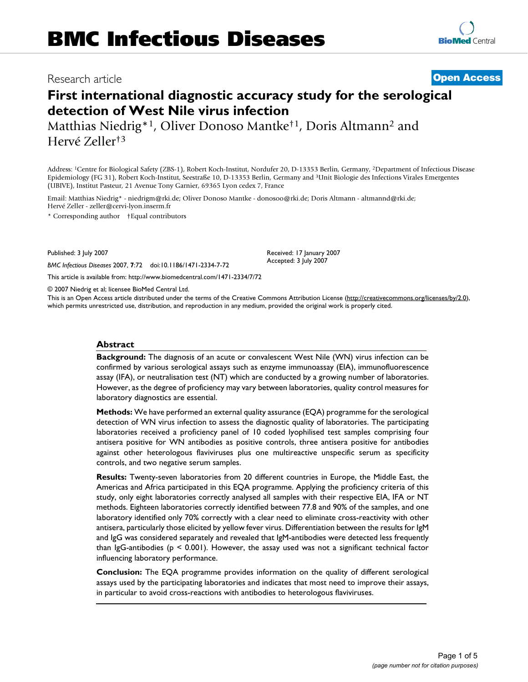# Research article **[Open Access](http://www.biomedcentral.com/info/about/charter/)**

# **First international diagnostic accuracy study for the serological detection of West Nile virus infection**

Matthias Niedrig\*1, Oliver Donoso Mantke†1, Doris Altmann2 and Hervé Zeller†3

Address: 1Centre for Biological Safety (ZBS-1), Robert Koch-Institut, Nordufer 20, D-13353 Berlin, Germany, 2Department of Infectious Disease Epidemiology (FG 31), Robert Koch-Institut, Seestraße 10, D-13353 Berlin, Germany and 3Unit Biologie des Infections Virales Emergentes (UBIVE), Institut Pasteur, 21 Avenue Tony Garnier, 69365 Lyon cedex 7, France

Email: Matthias Niedrig\* - niedrigm@rki.de; Oliver Donoso Mantke - donosoo@rki.de; Doris Altmann - altmannd@rki.de; Hervé Zeller - zeller@cervi-lyon.inserm.fr

\* Corresponding author †Equal contributors

Published: 3 July 2007

*BMC Infectious Diseases* 2007, **7**:72 doi:10.1186/1471-2334-7-72

[This article is available from: http://www.biomedcentral.com/1471-2334/7/72](http://www.biomedcentral.com/1471-2334/7/72)

© 2007 Niedrig et al; licensee BioMed Central Ltd.

This is an Open Access article distributed under the terms of the Creative Commons Attribution License [\(http://creativecommons.org/licenses/by/2.0\)](http://creativecommons.org/licenses/by/2.0), which permits unrestricted use, distribution, and reproduction in any medium, provided the original work is properly cited.

Received: 17 January 2007 Accepted: 3 July 2007

#### **Abstract**

**Background:** The diagnosis of an acute or convalescent West Nile (WN) virus infection can be confirmed by various serological assays such as enzyme immunoassay (EIA), immunofluorescence assay (IFA), or neutralisation test (NT) which are conducted by a growing number of laboratories. However, as the degree of proficiency may vary between laboratories, quality control measures for laboratory diagnostics are essential.

**Methods:** We have performed an external quality assurance (EQA) programme for the serological detection of WN virus infection to assess the diagnostic quality of laboratories. The participating laboratories received a proficiency panel of 10 coded lyophilised test samples comprising four antisera positive for WN antibodies as positive controls, three antisera positive for antibodies against other heterologous flaviviruses plus one multireactive unspecific serum as specificity controls, and two negative serum samples.

**Results:** Twenty-seven laboratories from 20 different countries in Europe, the Middle East, the Americas and Africa participated in this EQA programme. Applying the proficiency criteria of this study, only eight laboratories correctly analysed all samples with their respective EIA, IFA or NT methods. Eighteen laboratories correctly identified between 77.8 and 90% of the samples, and one laboratory identified only 70% correctly with a clear need to eliminate cross-reactivity with other antisera, particularly those elicited by yellow fever virus. Differentiation between the results for IgM and IgG was considered separately and revealed that IgM-antibodies were detected less frequently than IgG-antibodies ( $p \le 0.001$ ). However, the assay used was not a significant technical factor influencing laboratory performance.

**Conclusion:** The EQA programme provides information on the quality of different serological assays used by the participating laboratories and indicates that most need to improve their assays, in particular to avoid cross-reactions with antibodies to heterologous flaviviruses.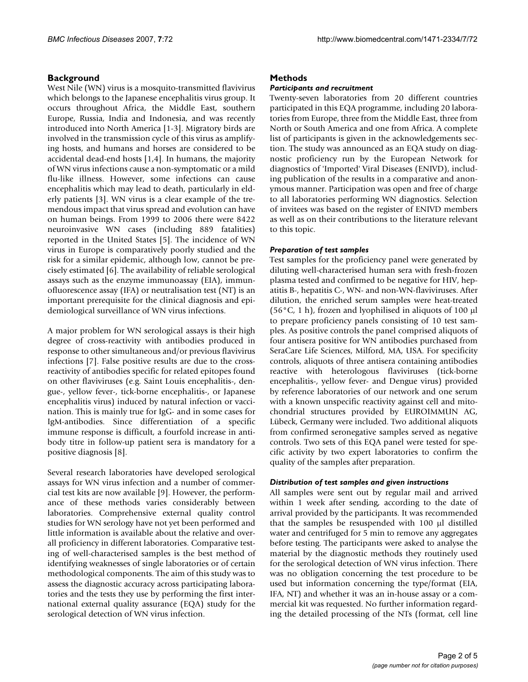# **Background**

West Nile (WN) virus is a mosquito-transmitted flavivirus which belongs to the Japanese encephalitis virus group. It occurs throughout Africa, the Middle East, southern Europe, Russia, India and Indonesia, and was recently introduced into North America [1-3]. Migratory birds are involved in the transmission cycle of this virus as amplifying hosts, and humans and horses are considered to be accidental dead-end hosts [1,4]. In humans, the majority of WN virus infections cause a non-symptomatic or a mild flu-like illness. However, some infections can cause encephalitis which may lead to death, particularly in elderly patients [3]. WN virus is a clear example of the tremendous impact that virus spread and evolution can have on human beings. From 1999 to 2006 there were 8422 neuroinvasive WN cases (including 889 fatalities) reported in the United States [5]. The incidence of WN virus in Europe is comparatively poorly studied and the risk for a similar epidemic, although low, cannot be precisely estimated [6]. The availability of reliable serological assays such as the enzyme immunoassay (EIA), immunofluorescence assay (IFA) or neutralisation test (NT) is an important prerequisite for the clinical diagnosis and epidemiological surveillance of WN virus infections.

A major problem for WN serological assays is their high degree of cross-reactivity with antibodies produced in response to other simultaneous and/or previous flavivirus infections [7]. False positive results are due to the crossreactivity of antibodies specific for related epitopes found on other flaviviruses (e.g. Saint Louis encephalitis-, dengue-, yellow fever-, tick-borne encephalitis-, or Japanese encephalitis virus) induced by natural infection or vaccination. This is mainly true for IgG- and in some cases for IgM-antibodies. Since differentiation of a specific immune response is difficult, a fourfold increase in antibody titre in follow-up patient sera is mandatory for a positive diagnosis [8].

Several research laboratories have developed serological assays for WN virus infection and a number of commercial test kits are now available [9]. However, the performance of these methods varies considerably between laboratories. Comprehensive external quality control studies for WN serology have not yet been performed and little information is available about the relative and overall proficiency in different laboratories. Comparative testing of well-characterised samples is the best method of identifying weaknesses of single laboratories or of certain methodological components. The aim of this study was to assess the diagnostic accuracy across participating laboratories and the tests they use by performing the first international external quality assurance (EQA) study for the serological detection of WN virus infection.

#### **Methods**

#### *Participants and recruitment*

Twenty-seven laboratories from 20 different countries participated in this EQA programme, including 20 laboratories from Europe, three from the Middle East, three from North or South America and one from Africa. A complete list of participants is given in the acknowledgements section. The study was announced as an EQA study on diagnostic proficiency run by the European Network for diagnostics of 'Imported' Viral Diseases (ENIVD), including publication of the results in a comparative and anonymous manner. Participation was open and free of charge to all laboratories performing WN diagnostics. Selection of invitees was based on the register of ENIVD members as well as on their contributions to the literature relevant to this topic.

#### *Preparation of test samples*

Test samples for the proficiency panel were generated by diluting well-characterised human sera with fresh-frozen plasma tested and confirmed to be negative for HIV, hepatitis B-, hepatitis C-, WN- and non-WN-flaviviruses. After dilution, the enriched serum samples were heat-treated  $(56^{\circ}C, 1 h)$ , frozen and lyophilised in aliquots of 100 µl to prepare proficiency panels consisting of 10 test samples. As positive controls the panel comprised aliquots of four antisera positive for WN antibodies purchased from SeraCare Life Sciences, Milford, MA, USA. For specificity controls, aliquots of three antisera containing antibodies reactive with heterologous flaviviruses (tick-borne encephalitis-, yellow fever- and Dengue virus) provided by reference laboratories of our network and one serum with a known unspecific reactivity against cell and mitochondrial structures provided by EUROIMMUN AG, Lübeck, Germany were included. Two additional aliquots from confirmed seronegative samples served as negative controls. Two sets of this EQA panel were tested for specific activity by two expert laboratories to confirm the quality of the samples after preparation.

#### *Distribution of test samples and given instructions*

All samples were sent out by regular mail and arrived within 1 week after sending, according to the date of arrival provided by the participants. It was recommended that the samples be resuspended with 100 µl distilled water and centrifuged for 5 min to remove any aggregates before testing. The participants were asked to analyse the material by the diagnostic methods they routinely used for the serological detection of WN virus infection. There was no obligation concerning the test procedure to be used but information concerning the type/format (EIA, IFA, NT) and whether it was an in-house assay or a commercial kit was requested. No further information regarding the detailed processing of the NTs (format, cell line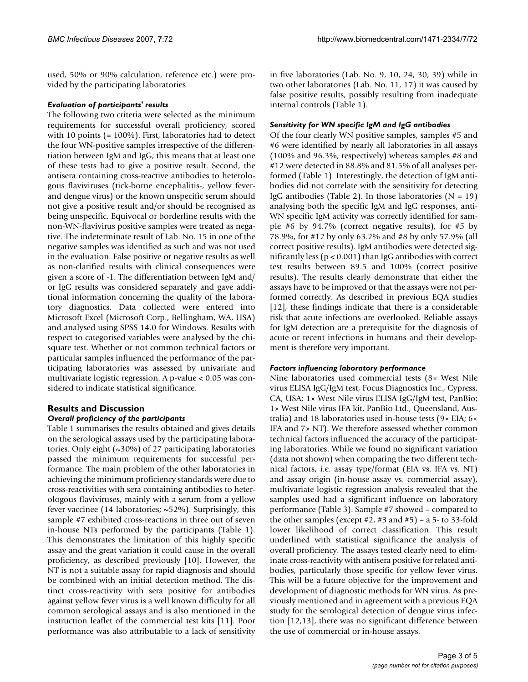used, 50% or 90% calculation, reference etc.) were provided by the participating laboratories.

#### *Evaluation of participants' results*

The following two criteria were selected as the minimum requirements for successful overall proficiency, scored with 10 points (= 100%). First, laboratories had to detect the four WN-positive samples irrespective of the differentiation between IgM and IgG; this means that at least one of these tests had to give a positive result. Second, the antisera containing cross-reactive antibodies to heterologous flaviviruses (tick-borne encephalitis-, yellow feverand dengue virus) or the known unspecific serum should not give a positive result and/or should be recognised as being unspecific. Equivocal or borderline results with the non-WN-flavivirus positive samples were treated as negative. The indeterminate result of Lab. No. 15 in one of the negative samples was identified as such and was not used in the evaluation. False positive or negative results as well as non-clarified results with clinical consequences were given a score of -1. The differentiation between IgM and/ or IgG results was considered separately and gave additional information concerning the quality of the laboratory diagnostics. Data collected were entered into Microsoft Excel (Microsoft Corp., Bellingham, WA, USA) and analysed using SPSS 14.0 for Windows. Results with respect to categorised variables were analysed by the chisquare test. Whether or not common technical factors or particular samples influenced the performance of the participating laboratories was assessed by univariate and multivariate logistic regression. A p-value < 0.05 was considered to indicate statistical significance.

#### **Results and Discussion** *Overall proficiency of the participants*

Table 1 summarises the results obtained and gives details on the serological assays used by the participating laboratories. Only eight  $(\sim 30\%)$  of 27 participating laboratories passed the minimum requirements for successful performance. The main problem of the other laboratories in achieving the minimum proficiency standards were due to cross-reactivities with sera containing antibodies to heterologous flaviviruses, mainly with a serum from a yellow fever vaccinee (14 laboratories; ~52%). Surprisingly, this sample #7 exhibited cross-reactions in three out of seven in-house NTs performed by the participants (Table 1). This demonstrates the limitation of this highly specific assay and the great variation it could cause in the overall proficiency, as described previously [10]. However, the NT is not a suitable assay for rapid diagnosis and should be combined with an initial detection method. The distinct cross-reactivity with sera positive for antibodies against yellow fever virus is a well known difficulty for all common serological assays and is also mentioned in the instruction leaflet of the commercial test kits [11]. Poor performance was also attributable to a lack of sensitivity in five laboratories (Lab. No. 9, 10, 24, 30, 39) while in two other laboratories (Lab. No. 11, 17) it was caused by false positive results, possibly resulting from inadequate internal controls (Table 1).

#### *Sensitivity for WN specific IgM and IgG antibodies*

Of the four clearly WN positive samples, samples #5 and #6 were identified by nearly all laboratories in all assays (100% and 96.3%, respectively) whereas samples #8 and #12 were detected in 88.8% and 81.5% of all analyses performed (Table 1). Interestingly, the detection of IgM antibodies did not correlate with the sensitivity for detecting IgG antibodies (Table 2). In those laboratories  $(N = 19)$ analysing both the specific IgM and IgG responses, anti-WN specific IgM activity was correctly identified for sample #6 by 94.7% (correct negative results), for #5 by 78.9%, for #12 by only 63.2% and #8 by only 57.9% (all correct positive results). IgM antibodies were detected significantly less ( $p < 0.001$ ) than IgG antibodies with correct test results between 89.5 and 100% (correct positive results). The results clearly demonstrate that either the assays have to be improved or that the assays were not performed correctly. As described in previous EQA studies [12], these findings indicate that there is a considerable risk that acute infections are overlooked. Reliable assays for IgM detection are a prerequisite for the diagnosis of acute or recent infections in humans and their development is therefore very important.

### *Factors influencing laboratory performance*

Nine laboratories used commercial tests (8× West Nile virus ELISA IgG/IgM test, Focus Diagnostics Inc., Cypress, CA, USA; 1× West Nile virus ELISA IgG/IgM test, PanBio; 1× West Nile virus IFA kit, PanBio Ltd., Queensland, Australia) and 18 laboratories used in-house tests (9× EIA; 6× IFA and 7× NT). We therefore assessed whether common technical factors influenced the accuracy of the participating laboratories. While we found no significant variation (data not shown) when comparing the two different technical factors, i.e. assay type/format (EIA vs. IFA vs. NT) and assay origin (in-house assay vs. commercial assay), multivariate logistic regression analysis revealed that the samples used had a significant influence on laboratory performance (Table 3). Sample #7 showed – compared to the other samples (except  $#2$ ,  $#3$  and  $#5$ ) – a 5- to 33-fold lower likelihood of correct classification. This result underlined with statistical significance the analysis of overall proficiency. The assays tested clearly need to eliminate cross-reactivity with antisera positive for related antibodies, particularly those specific for yellow fever virus. This will be a future objective for the improvement and development of diagnostic methods for WN virus. As previously mentioned and in agreement with a previous EQA study for the serological detection of dengue virus infection [12,13], there was no significant difference between the use of commercial or in-house assays.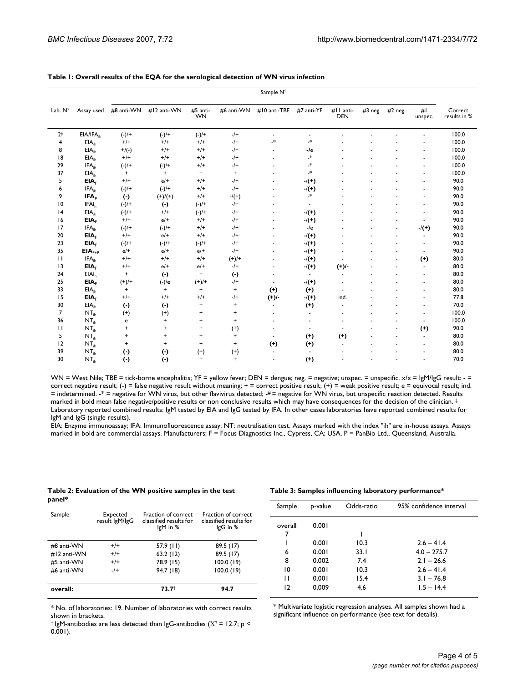|                 |                       | Sample N°  |             |                       |                                  |                          |                          |                         |         |           |                      |                         |
|-----------------|-----------------------|------------|-------------|-----------------------|----------------------------------|--------------------------|--------------------------|-------------------------|---------|-----------|----------------------|-------------------------|
| Lab. N°         | Assay used            | #8 anti-WN | #12 anti-WN | #5 anti-<br><b>WN</b> | #6 anti-WN                       | #10 anti-TBE             | #7 anti-YF               | #II anti-<br><b>DEN</b> | #3 neg. | $#2$ neg. | #I<br>unspec.        | Correct<br>results in % |
| 2 <sup>†</sup>  | EIA/IFA <sub>ih</sub> | $(-)/+$    | $(-)/+$     | $(-)/+$               | $-$ /+                           | $\blacksquare$           | $\blacksquare$           |                         |         |           |                      | 100.0                   |
| 4               | EIA <sub>ih</sub>     | $+/+$      | $+/+$       | $+/+$                 | $-$ /+                           | $^\ast$                  | .∗                       |                         |         |           |                      | 100.0                   |
| 8               | EIA <sub>ih</sub>     | $+$ /(-)   | $+/+$       | $+/+$                 | $-$ /+                           | $\overline{\phantom{a}}$ | $-Ie$                    |                         |         |           |                      | 100.0                   |
| 18              | EIA <sub>ih</sub>     | $+/+$      | $+/+$       | $+/+$                 | $-$ /+                           |                          | $^\ast$                  |                         |         |           | ÷                    | 100.0                   |
| 29              | IFA <sub>ih</sub>     | $(-)/+$    | $(-)/+$     | $+/+$                 | $-$ /+                           |                          | $^\ast$                  |                         |         |           | L,                   | 100.0                   |
| 37              | EIA <sub>ih</sub>     | $\ddot{}$  | $\ddot{}$   | $\ddot{}$             | $\ddot{}$                        | ٠                        | $^\ast$                  |                         |         |           | ÷                    | 100.0                   |
| 5               | EIA <sub>F</sub>      | $+/+$      | $e/+$       | $+/+$                 | $-1$                             | $\ddot{\phantom{1}}$     | $-/(+)$                  |                         |         |           | ä,                   | 90.0                    |
| 6               | IFA <sub>ih</sub>     | $(-)/+$    | $(-)/+$     | $+/+$                 | $-$ /+                           | $\overline{\phantom{a}}$ | $-/(+)$                  |                         |         |           | ä,                   | 90.0                    |
| 9               | IFA <sub>p</sub>      | $(\cdot)$  | $(+)/(+)$   | $+/+$                 | $-/(+)$                          | ٠                        | $\ast$                   |                         |         |           | ÷                    | 90.0                    |
| $\overline{10}$ | IFAi <sub>h</sub>     | $(-)/+$    | $(\cdot)$   | $(-)/+$               | $-$ /+                           | ä,                       | $\sim$                   |                         |         |           | L,                   | 90.0                    |
| 4               | EIA <sub>ih</sub>     | $(-)/+$    | $+/+$       | $(-)/+$               | $-$ /+                           | $\overline{\phantom{a}}$ | $-/(+)$                  |                         |         |           | ä,                   | 90.0                    |
| 16              | EIA <sub>F</sub>      | $+/+$      | $e/+$       | $+/+$                 | $-$ /+                           | $\overline{\phantom{a}}$ | $-/(+)$                  |                         |         |           | ä,                   | 90.0                    |
| 17              | IFA <sub>ih</sub>     | $(-)/+$    | $(-)/+$     | $+/+$                 | $-1$                             | ÷.                       | $-l$ e                   |                         |         | ÷.        | $-/(+)$              | 90.0                    |
| 20              | EIA <sub>F</sub>      | $+/+$      | $e/+$       | $+/+$                 | $-$ /+                           | $\blacksquare$           | $-/(+)$                  |                         |         | ÷         | $\overline{a}$       | 90.0                    |
| 23              | EIA <sub>F</sub>      | $(-)/+$    | $(-)/+$     | $(-)/+$               | $-$ /+                           | $\overline{\phantom{a}}$ | $-/(+)$                  |                         |         |           | ÷,                   | 90.0                    |
| 35              | $EIAF+P$              | $e/+$      | $e/+$       | $e/+$                 | $-$ /+                           | $\overline{\phantom{a}}$ | $-/(+)$                  |                         |         |           | $\blacksquare$       | 90.0                    |
| $\mathbf{H}$    | IFA <sub>ih</sub>     | $+/+$      | $+/+$       | $+/+$                 | $(+)/+$                          | $\overline{\phantom{a}}$ | $-/(+)$                  |                         |         | $\sim$    | $(+)$                | 80.0                    |
| 13              | EIA <sub>F</sub>      | $+/+$      | $e/+$       | $e/+$                 | $-$ /+                           | $\overline{\phantom{a}}$ | $-/(+)$                  | $(+)$ .                 |         |           | $\blacksquare$       | 80.0                    |
| 24              | EIAi <sub>h</sub>     | $\ddot{}$  | $(\cdot)$   | $\ddot{}$             | $(\cdot)$                        | $\overline{\phantom{a}}$ | $\blacksquare$           | $\sim$                  |         |           | $\sim$               | 80.0                    |
| 25              | EIA <sub>F</sub>      | $(+)/+$    | $(-)/e$     | $(+)/+$               | $-$ /+                           | $\overline{\phantom{a}}$ | $-/(+)$                  | $\overline{a}$          |         |           | $\ddot{\phantom{0}}$ | 80.0                    |
| 33              | EIA <sub>ih</sub>     | $\ddot{}$  | $\ddot{}$   | $\ddot{}$             | $\begin{array}{c} + \end{array}$ | $(+)$                    | $(+)$                    | $\blacksquare$          |         |           | ä,                   | 80.0                    |
| 15              | EIA <sub>F</sub>      | $+/+$      | $+/+$       | $+/+$                 | $-$ /+                           | $(+)$ /-                 | $-/(+)$                  | ind.                    |         |           | ÷                    | 77.8                    |
| 30              | EIA <sub>ih</sub>     | $(\cdot)$  | $(\cdot)$   | $\ddot{}$             | $\ddot{}$                        | ä,                       | $(+)$                    | ٠                       |         |           | ä,                   | 70.0                    |
| $\overline{7}$  | NT <sub>ih</sub>      | $(+)$      | $(+)$       | $\ddot{}$             | $\ddot{}$                        |                          | ä,                       |                         |         |           | ä,                   | 100.0                   |
| 36              | NT <sub>ih</sub>      | e          | $\ddot{}$   | $\ddot{}$             | $\begin{array}{c} + \end{array}$ | ٠                        | $\overline{\phantom{a}}$ |                         |         |           | ä,                   | 100.0                   |
| П               | NT <sub>ih</sub>      | $\ddot{}$  | $\ddot{}$   | $\ddot{}$             | $(+)$                            | ä,                       | $\blacksquare$           | $\sim$                  |         | $\sim$    | $^{(+)}$             | 90.0                    |
| 5               | NT <sub>ih</sub>      | $\ddot{}$  | $\ddot{}$   | $\pmb{+}$             | $\ddot{}$                        | ÷.                       | $(+)$                    | $(+)$                   |         |           | ÷.                   | 80.0                    |
| 12              | NT <sub>ih</sub>      | $\ddot{}$  | $\ddot{}$   | $\ddot{}$             | $\ddot{}$                        | $(+)$                    | $(+)$                    | ÷                       |         |           | ÷.                   | 80.0                    |
| 39              | NT <sub>ih</sub>      | $(\cdot)$  | $(\cdot)$   | $^{(+)}$              | $(+)$                            | $\sim$                   | $\blacksquare$           |                         |         |           |                      | 80.0                    |
| 30              | NT <sub>ih</sub>      | $(\cdot)$  | $(\cdot)$   | $\ddot{}$             | $\begin{array}{c} + \end{array}$ |                          | $(+)$                    |                         |         |           |                      | 70.0                    |

#### **Table 1: Overall results of the EQA for the serological detection of WN virus infection**

WN = West Nile; TBE = tick-borne encephalitis; YF = yellow fever; DEN = dengue; neg. = negative; unspec. = unspecific. x/x = lgM/lgG result: - = correct negative result; (-) = false negative result without meaning; + = correct positive result; (+) = weak positive result; e = equivocal result; ind. = indetermined. -\* = negative for WN virus, but other flavivirus detected; -# = negative for WN virus, but unspecific reaction detected. Results marked in bold mean false negative/positive results or non conclusive results which may have consequences for the decision of the clinician. ‡ Laboratory reported combined results: IgM tested by EIA and IgG tested by IFA. In other cases laboratories have reported combined results for IgM and IgG (single results).

EIA: Enzyme immunoassay; IFA: Immunofluorescence assay; NT: neutralisation test. Assays marked with the index "ih" are in-house assays. Assays marked in bold are commercial assays. Manufacturers: F = Focus Diagnostics Inc., Cypress, CA; USA, P = PanBio Ltd., Queensland, Australia.

#### **Table 2: Evaluation of the WN positive samples in the test panel\***

#### **Table 3: Samples influencing laboratory performance\***

| Expected<br>result IgM/IgG | Fraction of correct<br>classified results for<br>$lgM$ in $%$ | Fraction of correct<br>classified results for<br>IgG in % |
|----------------------------|---------------------------------------------------------------|-----------------------------------------------------------|
| $+/+$                      | 57.9 (11)                                                     | 89.5 (17)                                                 |
| $+/+$                      | 63.2(12)                                                      | 89.5(17)                                                  |
| $+/+$                      | 78.9 (15)                                                     | 100.0(19)                                                 |
| $-1$                       | 94.7 (18)                                                     | 100.0(19)                                                 |
|                            | $73.7^+$                                                      | 94.7                                                      |
|                            |                                                               |                                                           |

\* No. of laboratories: 19. Number of laboratories with correct results shown in brackets.

<sup>†</sup> IgM-antibodies are less detected than IgG-antibodies ( $X^2$  = 12.7; p < 0.001).

| Sample  | p-value | Odds-ratio | 95% confidence interval |
|---------|---------|------------|-------------------------|
| overall | 0.001   |            |                         |
| 7       |         |            |                         |
|         | 0.001   | 10.3       | $2.6 - 41.4$            |
| 6       | 0.001   | 33.1       | $4.0 - 275.7$           |
| 8       | 0.002   | 7.4        | $2.1 - 26.6$            |
| 10      | 0.001   | 10.3       | $2.6 - 41.4$            |
| п       | 0.001   | 15.4       | $3.1 - 76.8$            |
| 12      | 0.009   | 4.6        | $1.5 - 14.4$            |
|         |         |            |                         |

\* Multivariate logistic regression analyses. All samples shown had a significant influence on performance (see text for details).